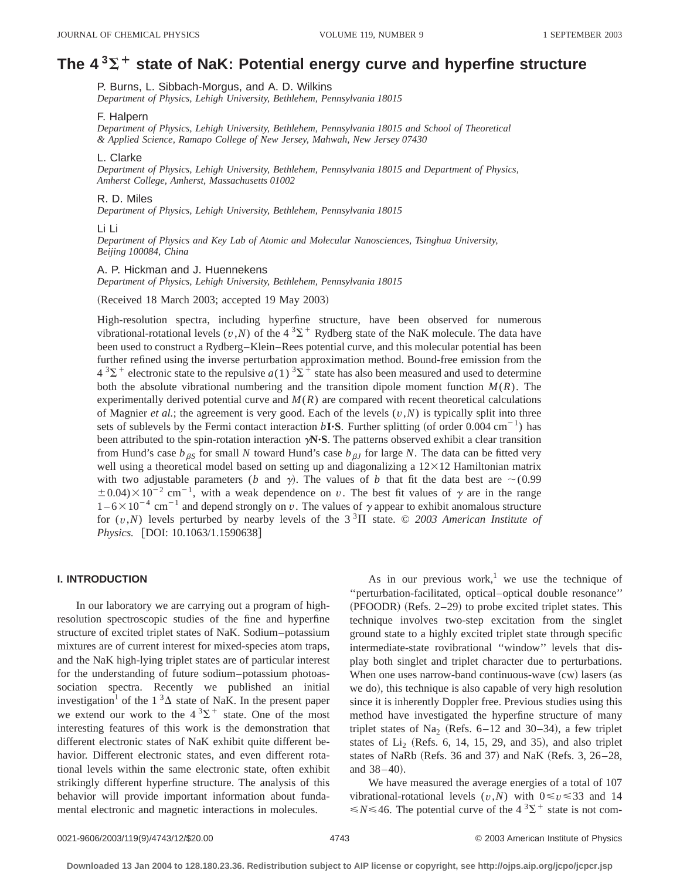# The 4<sup>3</sup> $\Sigma$ <sup>+</sup> state of NaK: Potential energy curve and hyperfine structure

P. Burns, L. Sibbach-Morgus, and A. D. Wilkins

*Department of Physics, Lehigh University, Bethlehem, Pennsylvania 18015*

#### F. Halpern

*Department of Physics, Lehigh University, Bethlehem, Pennsylvania 18015 and School of Theoretical & Applied Science, Ramapo College of New Jersey, Mahwah, New Jersey 07430*

## L. Clarke

*Department of Physics, Lehigh University, Bethlehem, Pennsylvania 18015 and Department of Physics, Amherst College, Amherst, Massachusetts 01002*

## R. D. Miles

*Department of Physics, Lehigh University, Bethlehem, Pennsylvania 18015*

## Li Li

*Department of Physics and Key Lab of Atomic and Molecular Nanosciences, Tsinghua University, Beijing 100084, China*

## A. P. Hickman and J. Huennekens

*Department of Physics, Lehigh University, Bethlehem, Pennsylvania 18015*

(Received 18 March 2003; accepted 19 May 2003)

High-resolution spectra, including hyperfine structure, have been observed for numerous vibrational-rotational levels ( $v, N$ ) of the 4<sup>3</sup> $\Sigma$ <sup>+</sup> Rydberg state of the NaK molecule. The data have been used to construct a Rydberg–Klein–Rees potential curve, and this molecular potential has been further refined using the inverse perturbation approximation method. Bound-free emission from the  $4^{3}\Sigma^{+}$  electronic state to the repulsive *a*(1)  $^{3}\Sigma^{+}$  state has also been measured and used to determine both the absolute vibrational numbering and the transition dipole moment function  $M(R)$ . The experimentally derived potential curve and  $M(R)$  are compared with recent theoretical calculations of Magnier *et al.*; the agreement is very good. Each of the levels  $(v, N)$  is typically split into three sets of sublevels by the Fermi contact interaction  $bI$ **·S**. Further splitting (of order 0.004 cm<sup>-1</sup>) has been attributed to the spin-rotation interaction  $\gamma N \cdot S$ . The patterns observed exhibit a clear transition from Hund's case  $b_{\beta S}$  for small *N* toward Hund's case  $b_{\beta J}$  for large *N*. The data can be fitted very well using a theoretical model based on setting up and diagonalizing a  $12\times12$  Hamiltonian matrix with two adjustable parameters (*b* and  $\gamma$ ). The values of *b* that fit the data best are  $\sim$ (0.99)  $\pm$  0.04) $\times$ 10<sup>-2</sup> cm<sup>-1</sup>, with a weak dependence on *v*. The best fit values of  $\gamma$  are in the range  $1-6\times10^{-4}$  cm<sup>-1</sup> and depend strongly on *v*. The values of  $\gamma$  appear to exhibit anomalous structure for  $(v, N)$  levels perturbed by nearby levels of the  $3<sup>3</sup>\Pi$  state. © 2003 American Institute of *Physics.* [DOI: 10.1063/1.1590638]

## **I. INTRODUCTION**

In our laboratory we are carrying out a program of highresolution spectroscopic studies of the fine and hyperfine structure of excited triplet states of NaK. Sodium–potassium mixtures are of current interest for mixed-species atom traps, and the NaK high-lying triplet states are of particular interest for the understanding of future sodium–potassium photoassociation spectra. Recently we published an initial investigation<sup>1</sup> of the 1<sup>3</sup> $\Delta$  state of NaK. In the present paper we extend our work to the  $4^{3}\Sigma^{+}$  state. One of the most interesting features of this work is the demonstration that different electronic states of NaK exhibit quite different behavior. Different electronic states, and even different rotational levels within the same electronic state, often exhibit strikingly different hyperfine structure. The analysis of this behavior will provide important information about fundamental electronic and magnetic interactions in molecules.

As in our previous work,<sup>1</sup> we use the technique of ''perturbation-facilitated, optical–optical double resonance''  $(PFOODR)$   $(Refs. 2–29)$  to probe excited triplet states. This technique involves two-step excitation from the singlet ground state to a highly excited triplet state through specific intermediate-state rovibrational ''window'' levels that display both singlet and triplet character due to perturbations. When one uses narrow-band continuous-wave  $(cw)$  lasers (as we do), this technique is also capable of very high resolution since it is inherently Doppler free. Previous studies using this method have investigated the hyperfine structure of many triplet states of  $Na<sub>2</sub>$  (Refs. 6–12 and 30–34), a few triplet states of  $Li<sub>2</sub>$  (Refs. 6, 14, 15, 29, and 35), and also triplet states of NaRb (Refs. 36 and 37) and NaK (Refs. 3,  $26-28$ , and  $38-40$ ).

We have measured the average energies of a total of 107 vibrational-rotational levels  $(v, N)$  with  $0 \le v \le 33$  and 14  $\leq N \leq 46$ . The potential curve of the  $4^{3} \Sigma^{+}$  state is not com-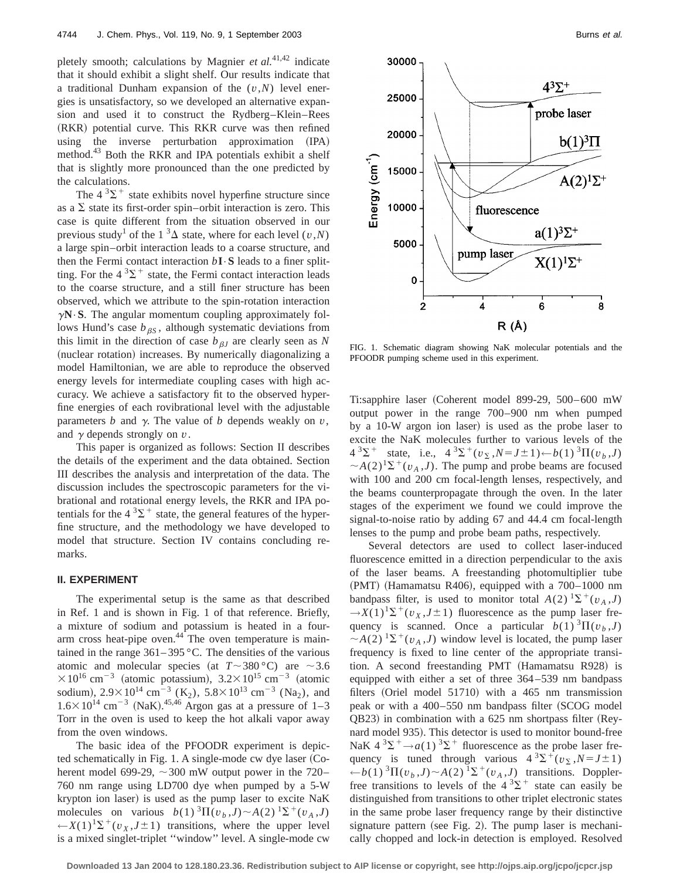pletely smooth; calculations by Magnier *et al.*41,42 indicate that it should exhibit a slight shelf. Our results indicate that a traditional Dunham expansion of the (*v*,*N*) level energies is unsatisfactory, so we developed an alternative expansion and used it to construct the Rydberg–Klein–Rees (RKR) potential curve. This RKR curve was then refined using the inverse perturbation approximation (IPA) method.<sup>43</sup> Both the RKR and IPA potentials exhibit a shelf that is slightly more pronounced than the one predicted by the calculations.

The  $4^3\Sigma^+$  state exhibits novel hyperfine structure since as a  $\Sigma$  state its first-order spin–orbit interaction is zero. This case is quite different from the situation observed in our previous study<sup>1</sup> of the 1<sup>3</sup> $\Delta$  state, where for each level (*v*,*N*) a large spin–orbit interaction leads to a coarse structure, and then the Fermi contact interaction  $bI \cdot S$  leads to a finer splitting. For the  $4^3\Sigma^+$  state, the Fermi contact interaction leads to the coarse structure, and a still finer structure has been observed, which we attribute to the spin-rotation interaction  $\gamma N \cdot S$ . The angular momentum coupling approximately follows Hund's case  $b_{\beta S}$ , although systematic deviations from this limit in the direction of case  $b_{\beta J}$  are clearly seen as N (nuclear rotation) increases. By numerically diagonalizing a model Hamiltonian, we are able to reproduce the observed energy levels for intermediate coupling cases with high accuracy. We achieve a satisfactory fit to the observed hyperfine energies of each rovibrational level with the adjustable parameters  $b$  and  $\gamma$ . The value of  $b$  depends weakly on  $v$ , and  $\gamma$  depends strongly on  $v$ .

This paper is organized as follows: Section II describes the details of the experiment and the data obtained. Section III describes the analysis and interpretation of the data. The discussion includes the spectroscopic parameters for the vibrational and rotational energy levels, the RKR and IPA potentials for the  $4 \, \mathrm{^{3} \Sigma^{+}}$  state, the general features of the hyperfine structure, and the methodology we have developed to model that structure. Section IV contains concluding remarks.

# **II. EXPERIMENT**

The experimental setup is the same as that described in Ref. 1 and is shown in Fig. 1 of that reference. Briefly, a mixture of sodium and potassium is heated in a fourarm cross heat-pipe oven. $44$ <sup>T</sup> The oven temperature is maintained in the range  $361-395$  °C. The densities of the various atomic and molecular species (at  $T \sim 380 \degree C$ ) are  $\sim 3.6$  $\times 10^{16}$  cm<sup>-3</sup> (atomic potassium),  $3.2\times 10^{15}$  cm<sup>-3</sup> (atomic sodium),  $2.9 \times 10^{14}$  cm<sup>-3</sup> (K<sub>2</sub>),  $5.8 \times 10^{13}$  cm<sup>-3</sup> (Na<sub>2</sub>), and  $1.6 \times 10^{14}$  cm<sup>-3</sup> (NaK).<sup>45,46</sup> Argon gas at a pressure of 1-3 Torr in the oven is used to keep the hot alkali vapor away from the oven windows.

The basic idea of the PFOODR experiment is depicted schematically in Fig.  $1. A$  single-mode cw dye laser (Coherent model 699-29,  $\sim$  300 mW output power in the 720– 760 nm range using LD700 dye when pumped by a 5-W krypton ion laser) is used as the pump laser to excite NaK molecules on various  $b(1)^3 \Pi(v_b, J) \sim A(2)^1 \Sigma^+(v_A, J)$  $\leftarrow X(1)^{1}\Sigma^{+}(v_{X}, J\pm 1)$  transitions, where the upper level is a mixed singlet-triplet ''window'' level. A single-mode cw



FIG. 1. Schematic diagram showing NaK molecular potentials and the PFOODR pumping scheme used in this experiment.

Ti:sapphire laser (Coherent model 899-29, 500–600 mW output power in the range 700–900 nm when pumped by a 10-W argon ion laser) is used as the probe laser to excite the NaK molecules further to various levels of the  $4^{3}\Sigma^{+}$  state, i.e.,  $4^{3}\Sigma^{+}(v_{\Sigma}, N=J\pm 1)\leftarrow b(1)^{3}\Pi(v_{h}, J)$  $\sim$ *A*(2)<sup>1</sup> $\Sigma$ <sup>+</sup>(*v<sub>A</sub>*,*J*). The pump and probe beams are focused with 100 and 200 cm focal-length lenses, respectively, and the beams counterpropagate through the oven. In the later stages of the experiment we found we could improve the signal-to-noise ratio by adding 67 and 44.4 cm focal-length lenses to the pump and probe beam paths, respectively.

Several detectors are used to collect laser-induced fluorescence emitted in a direction perpendicular to the axis of the laser beams. A freestanding photomultiplier tube  $(PMT)$  (Hamamatsu R406), equipped with a 700–1000 nm bandpass filter, is used to monitor total  $A(2)$   $\Sigma^+(v_A, J)$  $\rightarrow$ *X*(1)<sup>1</sup> $\Sigma$ <sup>+</sup>(*v*<sub>*X*</sub>,*J* $\pm$ 1) fluorescence as the pump laser frequency is scanned. Once a particular  $b(1)^3\Pi(v_b, J)$  $\sim$ *A*(2) <sup>1</sup> $\Sigma$ <sup>+</sup>(*v<sub>A</sub>*,*J*) window level is located, the pump laser frequency is fixed to line center of the appropriate transition. A second freestanding PMT (Hamamatsu R928) is equipped with either a set of three 364–539 nm bandpass filters (Oriel model  $51710$ ) with a 465 nm transmission peak or with a  $400-550$  nm bandpass filter (SCOG model  $\Omega$ B23) in combination with a 625 nm shortpass filter (Reynard model 935). This detector is used to monitor bound-free NaK  $4 \, \mathrm{3\Sigma^+} \rightarrow a(1) \, \mathrm{3\Sigma^+}$  fluorescence as the probe laser frequency is tuned through various  $4^{3}\Sigma^{+}(v_{\Sigma},N=J\pm 1)$ ←*b*(1)<sup>3</sup> $\Pi$ ( $v<sub>b</sub>$ ,*J*) ~*A*(2)<sup>1</sup> $\Sigma$ <sup>+</sup>( $v<sub>A</sub>$ ,*J*) transitions. Dopplerfree transitions to levels of the  $4^{3}\Sigma^{+}$  state can easily be distinguished from transitions to other triplet electronic states in the same probe laser frequency range by their distinctive signature pattern (see Fig. 2). The pump laser is mechanically chopped and lock-in detection is employed. Resolved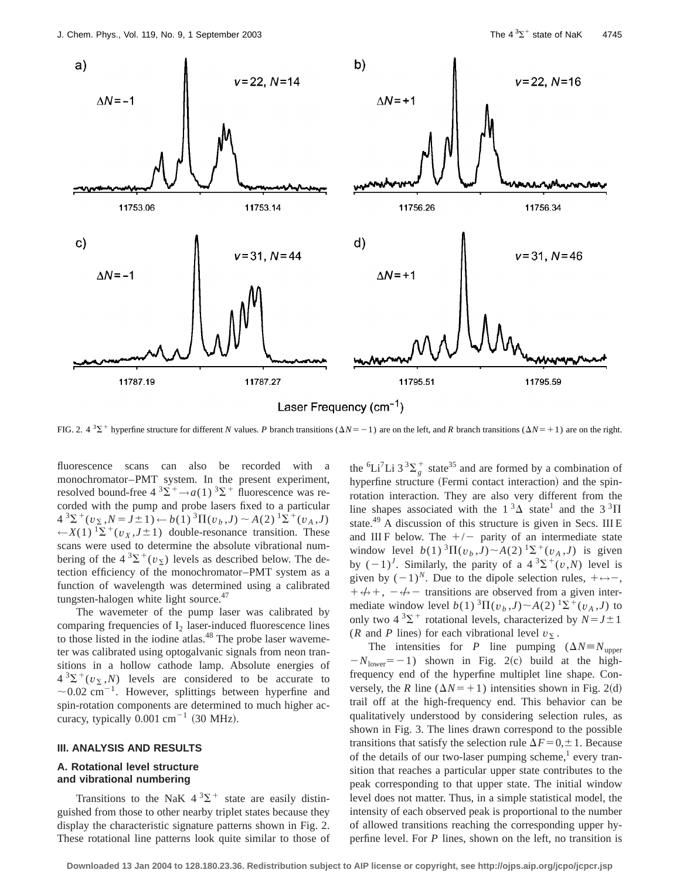

FIG. 2.  $4^{3}\Sigma^{+}$  hyperfine structure for different *N* values. *P* branch transitions ( $\Delta N=-1$ ) are on the left, and *R* branch transitions ( $\Delta N=+1$ ) are on the right.

fluorescence scans can also be recorded with a monochromator–PMT system. In the present experiment, resolved bound-free  $4 \times 3\Sigma^+$   $\rightarrow$  *a*(1)  $\times 3\Sigma^+$  fluorescence was recorded with the pump and probe lasers fixed to a particular  $4^{3}\Sigma^{+}(v_{\Sigma},N=J\pm 1) \leftarrow b(1)^{3}\Pi(v_{b},J) \sim A(2)^{1}\Sigma^{+}(v_{A},J)$ ← $X(1)$ <sup>1</sup> $\Sigma$ <sup>+</sup>( $v_X$ ,*J*±1) double-resonance transition. These scans were used to determine the absolute vibrational numbering of the  $4^{3}\Sigma^{+}(v_{\Sigma})$  levels as described below. The detection efficiency of the monochromator–PMT system as a function of wavelength was determined using a calibrated tungsten-halogen white light source.<sup>47</sup>

The wavemeter of the pump laser was calibrated by comparing frequencies of  $I_2$  laser-induced fluorescence lines to those listed in the iodine atlas.<sup>48</sup> The probe laser wavemeter was calibrated using optogalvanic signals from neon transitions in a hollow cathode lamp. Absolute energies of  $4^{3}\Sigma^{+}(v_{\Sigma},N)$  levels are considered to be accurate to  $\sim$  0.02 cm<sup>-1</sup>. However, splittings between hyperfine and spin-rotation components are determined to much higher accuracy, typically  $0.001$  cm<sup>-1</sup> (30 MHz).

# **III. ANALYSIS AND RESULTS**

# **A. Rotational level structure and vibrational numbering**

Transitions to the NaK  $4^{3}\Sigma^{+}$  state are easily distinguished from those to other nearby triplet states because they display the characteristic signature patterns shown in Fig. 2. These rotational line patterns look quite similar to those of

the <sup>6</sup>Li<sup>7</sup>Li 3<sup>3</sup> $\sum_{g}^{+}$  state<sup>35</sup> and are formed by a combination of hyperfine structure (Fermi contact interaction) and the spinrotation interaction. They are also very different from the line shapes associated with the  $1^3\Delta$  state<sup>1</sup> and the  $3^3\Pi$ state.<sup>49</sup> A discussion of this structure is given in Secs. III E and III F below. The  $+/-$  parity of an intermediate state window level  $b(1)$   ${}^{3}\Pi(v_b, J) \sim A(2)$   ${}^{1}\Sigma^{+}(v_A, J)$  is given by  $(-1)^J$ . Similarly, the parity of a  $4^3\Sigma^+(v,N)$  level is given by  $(-1)^N$ . Due to the dipole selection rules,  $+\leftrightarrow -$ ,  $+ \leftrightarrow +$ ,  $- \leftrightarrow -$  transitions are observed from a given intermediate window level  $b(1)^{3}\Pi(v_h, J) \sim A(2)^{1}\Sigma^{+}(v_A, J)$  to only two  $4 \times 3\Sigma^+$  rotational levels, characterized by  $N = J \pm 1$ (*R* and *P* lines) for each vibrational level  $v_{\Sigma}$ .

The intensities for *P* line pumping  $(\Delta N) \equiv N_{\text{upper}}$  $-N_{\text{lower}}=-1$ ) shown in Fig. 2(c) build at the highfrequency end of the hyperfine multiplet line shape. Conversely, the *R* line ( $\Delta N$ = + 1) intensities shown in Fig. 2(d) trail off at the high-frequency end. This behavior can be qualitatively understood by considering selection rules, as shown in Fig. 3. The lines drawn correspond to the possible transitions that satisfy the selection rule  $\Delta F = 0, \pm 1$ . Because of the details of our two-laser pumping scheme, $\frac{1}{1}$  every transition that reaches a particular upper state contributes to the peak corresponding to that upper state. The initial window level does not matter. Thus, in a simple statistical model, the intensity of each observed peak is proportional to the number of allowed transitions reaching the corresponding upper hyperfine level. For *P* lines, shown on the left, no transition is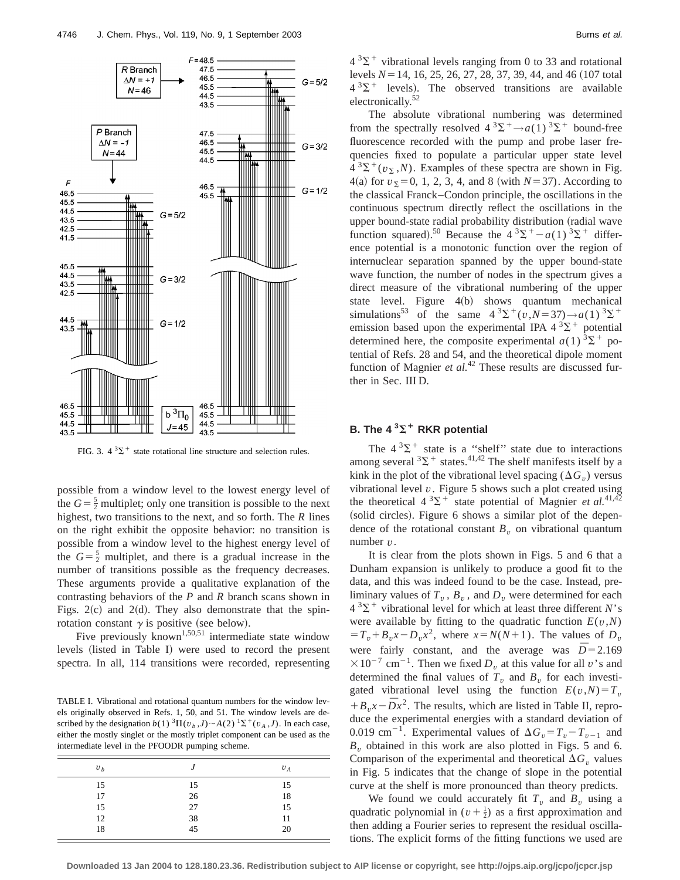

FIG. 3.  $4^{3}\Sigma^{+}$  state rotational line structure and selection rules.

possible from a window level to the lowest energy level of the  $G = \frac{5}{2}$  multiplet; only one transition is possible to the next highest, two transitions to the next, and so forth. The *R* lines on the right exhibit the opposite behavior: no transition is possible from a window level to the highest energy level of the  $G = \frac{5}{2}$  multiplet, and there is a gradual increase in the number of transitions possible as the frequency decreases. These arguments provide a qualitative explanation of the contrasting behaviors of the *P* and *R* branch scans shown in Figs.  $2(c)$  and  $2(d)$ . They also demonstrate that the spinrotation constant  $\gamma$  is positive (see below).

Five previously known<sup>1,50,51</sup> intermediate state window levels (listed in Table I) were used to record the present spectra. In all, 114 transitions were recorded, representing

TABLE I. Vibrational and rotational quantum numbers for the window levels originally observed in Refs. 1, 50, and 51. The window levels are described by the designation  $b(1)$   ${}^{3}\Pi(v_b, J) \sim A(2)$   ${}^{1}\Sigma^{+}(v_A, J)$ . In each case, either the mostly singlet or the mostly triplet component can be used as the intermediate level in the PFOODR pumping scheme.

| v <sub>b</sub> |    | $v_A$ |
|----------------|----|-------|
| 15             | 15 | 15    |
| 17             | 26 | 18    |
| 15             | 27 | 15    |
| 12             | 38 | 11    |
| 18             | 45 | 20    |

 $4^{3}\Sigma^{+}$  vibrational levels ranging from 0 to 33 and rotational levels  $N=14$ , 16, 25, 26, 27, 28, 37, 39, 44, and 46 (107 total  $4^{3}\Sigma^{+}$  levels). The observed transitions are available electronically.52

The absolute vibrational numbering was determined from the spectrally resolved  $4 \times 3\Sigma^+ \rightarrow a(1) \times 3\Sigma^+$  bound-free fluorescence recorded with the pump and probe laser frequencies fixed to populate a particular upper state level  $4 \frac{3\Sigma^+(v_{\Sigma},N)}{N}$ . Examples of these spectra are shown in Fig.  $4(a)$  for  $v_{\Sigma} = 0, 1, 2, 3, 4,$  and 8 (with  $N = 37$ ). According to the classical Franck–Condon principle, the oscillations in the continuous spectrum directly reflect the oscillations in the upper bound-state radial probability distribution (radial wave function squared).<sup>50</sup> Because the  $4^{3}\Sigma^{+} - a(1)^{3}\Sigma^{+}$  difference potential is a monotonic function over the region of internuclear separation spanned by the upper bound-state wave function, the number of nodes in the spectrum gives a direct measure of the vibrational numbering of the upper state level. Figure  $4(b)$  shows quantum mechanical simulations<sup>53</sup> of the same  $4^{3}\Sigma^{+}(v, N=37) \rightarrow a(1)^{3}\Sigma^{+}$ emission based upon the experimental IPA  $4 \frac{3}{2}$ <sup>+</sup> potential determined here, the composite experimental  $a(1)^3\Sigma^+$  potential of Refs. 28 and 54, and the theoretical dipole moment function of Magnier *et al.*<sup>42</sup> These results are discussed further in Sec. III D.

# **B.** The  $4^3\Sigma^+$  RKR potential

The  $4^3\Sigma^+$  state is a "shelf" state due to interactions among several  ${}^{3}\Sigma^{+}$  states.<sup>41,42</sup> The shelf manifests itself by a kink in the plot of the vibrational level spacing  $(\Delta G_v)$  versus vibrational level *v*. Figure 5 shows such a plot created using the theoretical  $4 \, \mathrm{^{3} \Sigma^{+}}$  state potential of Magnier *et al.*<sup>41,42</sup>  $s$  (solid circles). Figure 6 shows a similar plot of the dependence of the rotational constant  $B_v$  on vibrational quantum number *v*.

It is clear from the plots shown in Figs. 5 and 6 that a Dunham expansion is unlikely to produce a good fit to the data, and this was indeed found to be the case. Instead, preliminary values of  $T_v$ ,  $B_v$ , and  $D_v$  were determined for each  $4^{3}\Sigma^{+}$  vibrational level for which at least three different *N*'s were available by fitting to the quadratic function  $E(v, N)$  $T_{v} + B_{v}x - D_{v}x^{2}$ , where  $x = N(N+1)$ . The values of  $D_{v}$ were fairly constant, and the average was  $\overline{D} = 2.169$  $\times 10^{-7}$  cm<sup>-1</sup>. Then we fixed  $D<sub>v</sub>$  at this value for all v's and determined the final values of  $T_v$  and  $B_v$  for each investigated vibrational level using the function  $E(v, N) = T_v$  $+ B_v x - \bar{D}x^2$ . The results, which are listed in Table II, reproduce the experimental energies with a standard deviation of 0.019 cm<sup>-1</sup>. Experimental values of  $\Delta G_v = T_v - T_{v-1}$  and *B<sup>v</sup>* obtained in this work are also plotted in Figs. 5 and 6. Comparison of the experimental and theoretical  $\Delta G$ <sup>*v*</sup> values in Fig. 5 indicates that the change of slope in the potential curve at the shelf is more pronounced than theory predicts.

We found we could accurately fit  $T_v$  and  $B_v$  using a quadratic polynomial in  $(v + \frac{1}{2})$  as a first approximation and then adding a Fourier series to represent the residual oscillations. The explicit forms of the fitting functions we used are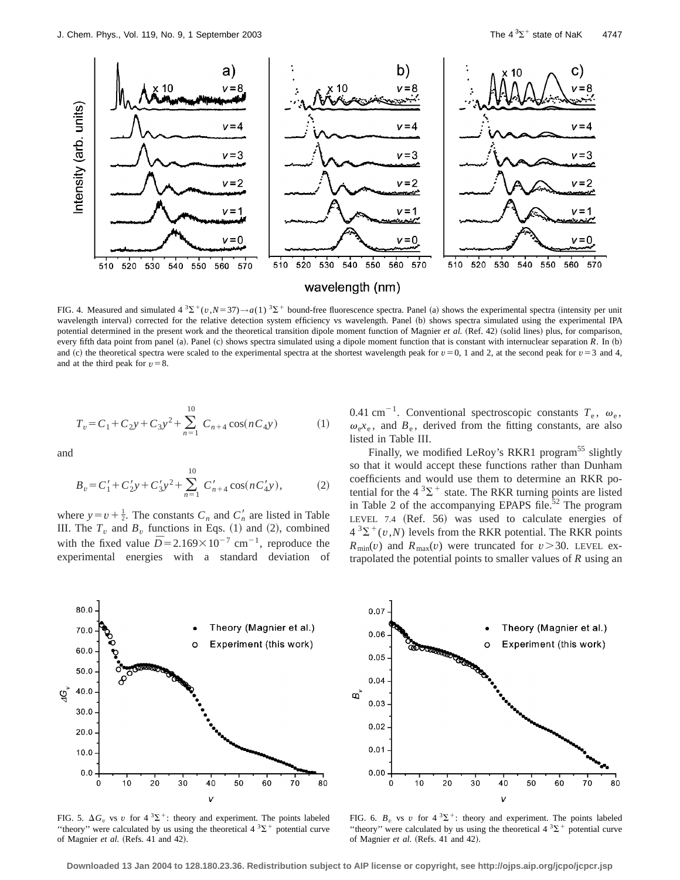

FIG. 4. Measured and simulated  $4^3\Sigma^+(v, N=37) \rightarrow a(1)^3\Sigma^+$  bound-free fluorescence spectra. Panel (a) shows the experimental spectra (intensity per unit wavelength interval) corrected for the relative detection system efficiency vs wavelength. Panel (b) shows spectra simulated using the experimental IPA potential determined in the present work and the theoretical transition dipole moment function of Magnier et al. (Ref. 42) (solid lines) plus, for comparison, every fifth data point from panel (a). Panel (c) shows spectra simulated using a dipole moment function that is constant with internuclear separation *R*. In (b) and (c) the theoretical spectra were scaled to the experimental spectra at the shortest wavelength peak for  $v=0$ , 1 and 2, at the second peak for  $v=3$  and 4, and at the third peak for  $v=8$ .

$$
T_v = C_1 + C_2 y + C_3 y^2 + \sum_{n=1}^{10} C_{n+4} \cos(nC_4 y)
$$
 (1)

and

$$
B_v = C_1' + C_2' y + C_3' y^2 + \sum_{n=1}^{10} C_{n+4}' \cos(n C_4' y),
$$
 (2)

where  $y = v + \frac{1}{2}$ . The constants  $C_n$  and  $C'_n$  are listed in Table III. The  $T_v$  and  $B_v$  functions in Eqs. (1) and (2), combined with the fixed value  $\overline{D}$  = 2.169×10<sup>-7</sup> cm<sup>-1</sup>, reproduce the experimental energies with a standard deviation of 0.41 cm<sup>-1</sup>. Conventional spectroscopic constants  $T_e$ ,  $\omega_e$ ,  $\omega_e x_e$ , and  $B_e$ , derived from the fitting constants, are also listed in Table III.

Finally, we modified LeRoy's RKR1 program<sup>55</sup> slightly so that it would accept these functions rather than Dunham coefficients and would use them to determine an RKR potential for the  $4^3\Sigma^+$  state. The RKR turning points are listed in Table 2 of the accompanying EPAPS file.<sup>52</sup> The program LEVEL 7.4  $(Ref. 56)$  was used to calculate energies of  $4^{3}\Sigma^{+}(v, N)$  levels from the RKR potential. The RKR points  $R_{\text{min}}(v)$  and  $R_{\text{max}}(v)$  were truncated for  $v > 30$ . LEVEL extrapolated the potential points to smaller values of *R* using an



FIG. 5.  $\Delta G$ <sup>*v*</sup> vs *v* for 4<sup>3</sup> $\Sigma$ <sup>+</sup>: theory and experiment. The points labeled "theory" were calculated by us using the theoretical  $4 \times 3\Sigma^+$  potential curve of Magnier et al. (Refs. 41 and 42).



FIG. 6.  $B<sub>v</sub>$  vs *v* for  $4^{3}\Sigma^{+}$ : theory and experiment. The points labeled "theory" were calculated by us using the theoretical  $4 \times 3\Sigma^+$  potential curve of Magnier et al. (Refs. 41 and 42).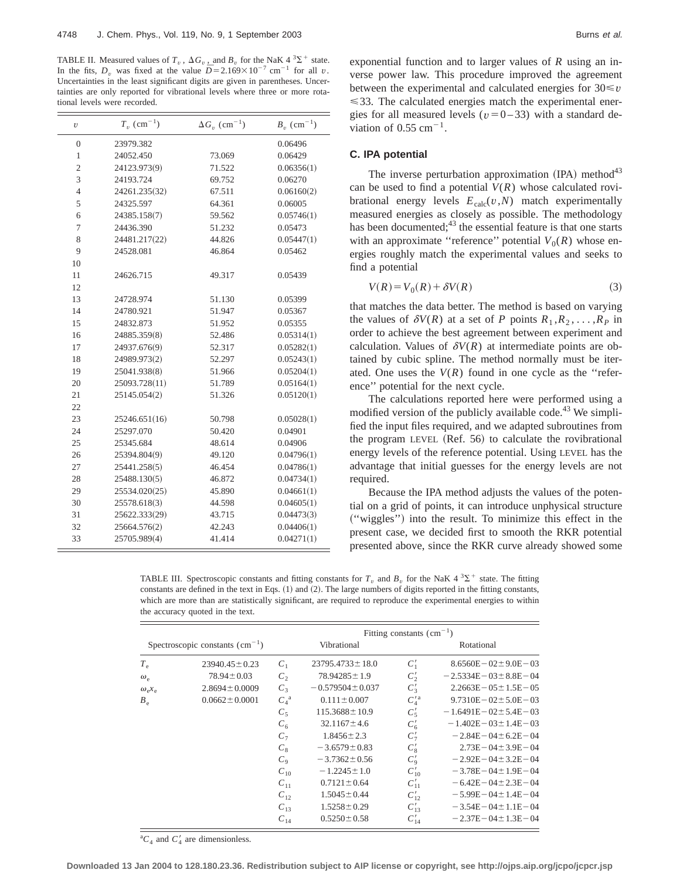TABLE II. Measured values of  $T_v$  ,  $\Delta G_v$  , and  $B_v$  for the NaK 4  $^3\Sigma^+$  state. In the fits,  $D_v$  was fixed at the value  $\overline{D} = 2.169 \times 10^{-7}$  cm<sup>-1</sup> for all *v*. Uncertainties in the least significant digits are given in parentheses. Uncertainties are only reported for vibrational levels where three or more rotational levels were recorded.

| $\upsilon$       | $T_v$ (cm <sup>-1</sup> ) | $\Delta G_v$ (cm <sup>-1</sup> ) | $B_v$ (cm <sup>-1</sup> ) |
|------------------|---------------------------|----------------------------------|---------------------------|
| $\boldsymbol{0}$ | 23979.382                 |                                  | 0.06496                   |
| $\mathbf{1}$     | 24052.450                 | 73.069                           | 0.06429                   |
| $\boldsymbol{2}$ | 24123.973(9)              | 71.522                           | 0.06356(1)                |
| 3                | 24193.724                 | 69.752                           | 0.06270                   |
| $\overline{4}$   | 24261.235(32)             | 67.511                           | 0.06160(2)                |
| 5                | 24325.597                 | 64.361                           | 0.06005                   |
| 6                | 24385.158(7)              | 59.562                           | 0.05746(1)                |
| 7                | 24436.390                 | 51.232                           | 0.05473                   |
| 8                | 24481.217(22)             | 44.826                           | 0.05447(1)                |
| 9                | 24528.081                 | 46.864                           | 0.05462                   |
| 10               |                           |                                  |                           |
| 11               | 24626.715                 | 49.317                           | 0.05439                   |
| 12               |                           |                                  |                           |
| 13               | 24728.974                 | 51.130                           | 0.05399                   |
| 14               | 24780.921                 | 51.947                           | 0.05367                   |
| 15               | 24832.873                 | 51.952                           | 0.05355                   |
| 16               | 24885.359(8)              | 52.486                           | 0.05314(1)                |
| 17               | 24937.676(9)              | 52.317                           | 0.05282(1)                |
| 18               | 24989.973(2)              | 52.297                           | 0.05243(1)                |
| 19               | 25041.938(8)              | 51.966                           | 0.05204(1)                |
| 20               | 25093.728(11)             | 51.789                           | 0.05164(1)                |
| 21               | 25145.054(2)              | 51.326                           | 0.05120(1)                |
| 22               |                           |                                  |                           |
| 23               | 25246.651(16)             | 50.798                           | 0.05028(1)                |
| 24               | 25297.070                 | 50.420                           | 0.04901                   |
| 25               | 25345.684                 | 48.614                           | 0.04906                   |
| 26               | 25394.804(9)              | 49.120                           | 0.04796(1)                |
| 27               | 25441.258(5)              | 46.454                           | 0.04786(1)                |
| 28               | 25488.130(5)              | 46.872                           | 0.04734(1)                |
| 29               | 25534.020(25)             | 45.890                           | 0.04661(1)                |
| 30               | 25578.618(3)              | 44.598                           | 0.04605(1)                |
| 31               | 25622.333(29)             | 43.715                           | 0.04473(3)                |
| 32               | 25664.576(2)              | 42.243                           | 0.04406(1)                |
| 33               | 25705.989(4)              | 41.414                           | 0.04271(1)                |

exponential function and to larger values of *R* using an inverse power law. This procedure improved the agreement between the experimental and calculated energies for  $30 \le v$  $\leq$ 33. The calculated energies match the experimental energies for all measured levels ( $v=0-33$ ) with a standard deviation of  $0.55$  cm<sup>-1</sup>.

#### **C. IPA potential**

The inverse perturbation approximation  $(IPA)$  method<sup>43</sup> can be used to find a potential  $V(R)$  whose calculated rovibrational energy levels  $E_{\text{calc}}(v, N)$  match experimentally measured energies as closely as possible. The methodology has been documented; $43$  the essential feature is that one starts with an approximate "reference" potential  $V_0(R)$  whose energies roughly match the experimental values and seeks to find a potential

$$
V(R) = V_0(R) + \delta V(R)
$$
\n(3)

that matches the data better. The method is based on varying the values of  $\delta V(R)$  at a set of *P* points  $R_1, R_2, \ldots, R_p$  in order to achieve the best agreement between experiment and calculation. Values of  $\delta V(R)$  at intermediate points are obtained by cubic spline. The method normally must be iterated. One uses the  $V(R)$  found in one cycle as the "reference'' potential for the next cycle.

The calculations reported here were performed using a modified version of the publicly available code.<sup>43</sup> We simplified the input files required, and we adapted subroutines from the program LEVEL  $(Ref. 56)$  to calculate the rovibrational energy levels of the reference potential. Using LEVEL has the advantage that initial guesses for the energy levels are not required.

Because the IPA method adjusts the values of the potential on a grid of points, it can introduce unphysical structure ~''wiggles''! into the result. To minimize this effect in the present case, we decided first to smooth the RKR potential presented above, since the RKR curve already showed some

TABLE III. Spectroscopic constants and fitting constants for  $T_v$  and  $B_v$  for the NaK  $4^3\Sigma^+$  state. The fitting constants are defined in the text in Eqs.  $(1)$  and  $(2)$ . The large numbers of digits reported in the fitting constants, which are more than are statistically significant, are required to reproduce the experimental energies to within the accuracy quoted in the text.

|                                                    |                     | Fitting constants $\text{cm}^{-1}$ ) |                       |                  |                               |
|----------------------------------------------------|---------------------|--------------------------------------|-----------------------|------------------|-------------------------------|
| Spectroscopic constants $\text{ (cm}^{-1}\text{)}$ |                     |                                      | Vibrational           |                  | Rotational                    |
| $T_e$                                              | $23940.45 \pm 0.23$ | $C_{1}$                              | $23795.4733 \pm 18.0$ | $C_1'$           | $8.6560E - 02 \pm 9.0E - 03$  |
| $\omega_{\scriptscriptstyle\rho}$                  | $78.94 \pm 0.03$    | $C_2$                                | $78.94285 \pm 1.9$    | $C'_{2}$         | $-2.5334E - 03 \pm 8.8E - 04$ |
| $\omega_{\rm e} x_{\rm e}$                         | $2.8694 \pm 0.0009$ | $C_3$                                | $-0.579504 \pm 0.037$ | $C'_{3}$         | $2.2663E - 05 \pm 1.5E - 05$  |
| $B_{\rho}$                                         | $0.0662 \pm 0.0001$ | $C_A^a$                              | $0.111 \pm 0.007$     | $C_4^{\prime a}$ | $9.7310E - 02 \pm 5.0E - 03$  |
|                                                    |                     | $C_5$                                | $115.3688 \pm 10.9$   | $C'_{5}$         | $-1.6491E - 02 \pm 5.4E - 03$ |
|                                                    |                     | $C_6$                                | $32.1167 \pm 4.6$     | $C_6'$           | $-1.402E - 03 \pm 1.4E - 03$  |
|                                                    |                     | $C_7$                                | $1.8456 \pm 2.3$      | $C_{\tau}'$      | $-2.84E - 04 \pm 6.2E - 04$   |
|                                                    |                     | $C_8$                                | $-3.6579 \pm 0.83$    | $C'_{8}$         | $2.73E - 04 \pm 3.9E - 04$    |
|                                                    |                     | $C_{9}$                              | $-3.7362 \pm 0.56$    | $C_9'$           | $-2.92E - 04 \pm 3.2E - 04$   |
|                                                    |                     | $C_{10}$                             | $-1.2245 \pm 1.0$     | $C'_{10}$        | $-3.78E - 04 \pm 1.9E - 04$   |
|                                                    |                     | $C_{11}$                             | $0.7121 \pm 0.64$     | $C'_{11}$        | $-6.42E - 04 \pm 2.3E - 04$   |
|                                                    |                     | $C_{12}$                             | $1.5045 \pm 0.44$     | $C'_{12}$        | $-5.99E - 04 \pm 1.4E - 04$   |
|                                                    |                     | $C_{13}$                             | $1.5258 \pm 0.29$     | $C'_{13}$        | $-3.54E - 04 \pm 1.1E - 04$   |
|                                                    |                     | $C_{14}$                             | $0.5250 \pm 0.58$     | $C'_{14}$        | $-2.37E - 04 \pm 1.3E - 04$   |

 ${}^aC_4$  and  $C'_4$  are dimensionless.

**Downloaded 13 Jan 2004 to 128.180.23.36. Redistribution subject to AIP license or copyright, see http://ojps.aip.org/jcpo/jcpcr.jsp**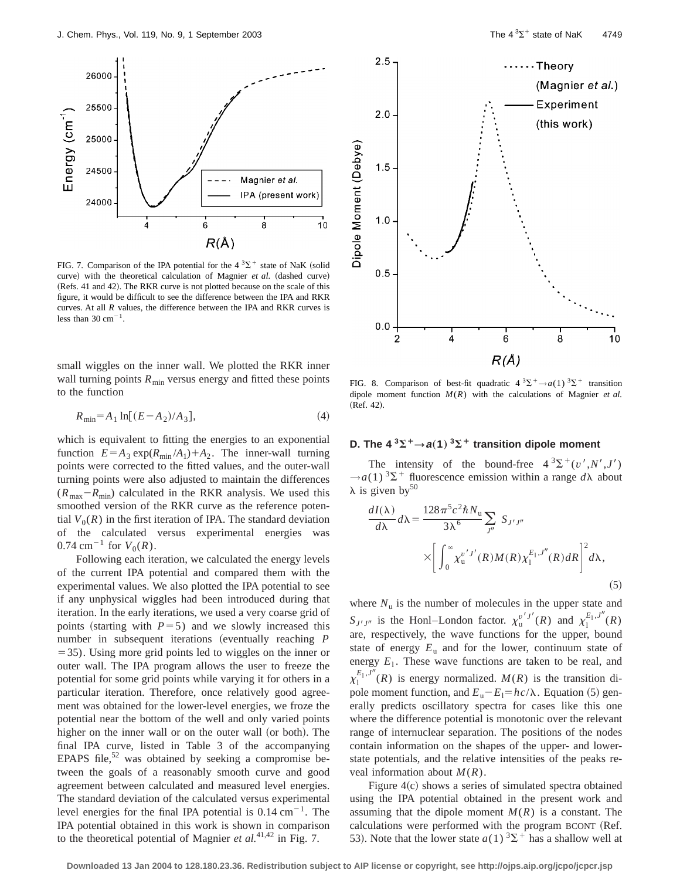

FIG. 7. Comparison of the IPA potential for the  $4 \, {}^{3}\Sigma^{+}$  state of NaK (solid curve) with the theoretical calculation of Magnier *et al.* (dashed curve) (Refs. 41 and 42). The RKR curve is not plotted because on the scale of this figure, it would be difficult to see the difference between the IPA and RKR curves. At all *R* values, the difference between the IPA and RKR curves is less than  $30 \text{ cm}^{-1}$ .

small wiggles on the inner wall. We plotted the RKR inner wall turning points  $R_{\text{min}}$  versus energy and fitted these points to the function

$$
R_{\min} = A_1 \ln[(E - A_2)/A_3],\tag{4}
$$

which is equivalent to fitting the energies to an exponential function  $E = A_3 \exp(R_{\min}/A_1) + A_2$ . The inner-wall turning points were corrected to the fitted values, and the outer-wall turning points were also adjusted to maintain the differences  $(R_{\text{max}}-R_{\text{min}})$  calculated in the RKR analysis. We used this smoothed version of the RKR curve as the reference potential  $V_0(R)$  in the first iteration of IPA. The standard deviation of the calculated versus experimental energies was  $0.74 \text{ cm}^{-1}$  for  $V_0(R)$ .

Following each iteration, we calculated the energy levels of the current IPA potential and compared them with the experimental values. We also plotted the IPA potential to see if any unphysical wiggles had been introduced during that iteration. In the early iterations, we used a very coarse grid of points (starting with  $P=5$ ) and we slowly increased this number in subsequent iterations (eventually reaching *P*  $=$  35). Using more grid points led to wiggles on the inner or outer wall. The IPA program allows the user to freeze the potential for some grid points while varying it for others in a particular iteration. Therefore, once relatively good agreement was obtained for the lower-level energies, we froze the potential near the bottom of the well and only varied points higher on the inner wall or on the outer wall (or both). The final IPA curve, listed in Table 3 of the accompanying EPAPS file,  $52$  was obtained by seeking a compromise between the goals of a reasonably smooth curve and good agreement between calculated and measured level energies. The standard deviation of the calculated versus experimental level energies for the final IPA potential is  $0.14 \text{ cm}^{-1}$ . The IPA potential obtained in this work is shown in comparison to the theoretical potential of Magnier *et al.*41,42 in Fig. 7.



FIG. 8. Comparison of best-fit quadratic  $4^{3}\Sigma^{+} \rightarrow a(1) \,^{3}\Sigma^{+}$  transition dipole moment function *M*(*R*) with the calculations of Magnier *et al.* (Ref. 42).

# **D.** The  $4 \times 3\Sigma^+ \rightarrow a(1) \times 3\Sigma^+$  transition dipole moment

The intensity of the bound-free  $4 \frac{3}{2} \times \left(\frac{v^{\prime}, N^{\prime}, J^{\prime}}{v^{\prime}, M^{\prime}}\right)$  $\rightarrow a(1)^3\Sigma^+$  fluorescence emission within a range  $d\lambda$  about  $\lambda$  is given by<sup>50</sup>

$$
\frac{dI(\lambda)}{d\lambda}d\lambda = \frac{128\pi^5 c^2 \hbar N_u}{3\lambda^6} \sum_{j''} S_{j'j''}
$$

$$
\times \left[ \int_0^\infty \chi_u^{v'j'}(R)M(R)\chi_1^{E_1,J''}(R)dR \right]^2 d\lambda,
$$
\n(5)

where  $N_u$  is the number of molecules in the upper state and *S*<sub>*J'J''*</sub> is the Honl–London factor.  $\chi_u^{v'J'}(R)$  and  $\chi_1^{E_1,J''}(R)$ are, respectively, the wave functions for the upper, bound state of energy  $E_u$  and for the lower, continuum state of energy  $E_1$ . These wave functions are taken to be real, and  $\chi_1^{E_1, J''}(R)$  is energy normalized.  $M(R)$  is the transition dipole moment function, and  $E_u - E_l = hc/\lambda$ . Equation (5) generally predicts oscillatory spectra for cases like this one where the difference potential is monotonic over the relevant range of internuclear separation. The positions of the nodes contain information on the shapes of the upper- and lowerstate potentials, and the relative intensities of the peaks reveal information about *M*(*R*).

Figure  $4(c)$  shows a series of simulated spectra obtained using the IPA potential obtained in the present work and assuming that the dipole moment  $M(R)$  is a constant. The calculations were performed with the program BCONT (Ref. 53). Note that the lower state  $a(1)$  <sup>3</sup> $\Sigma$ <sup>+</sup> has a shallow well at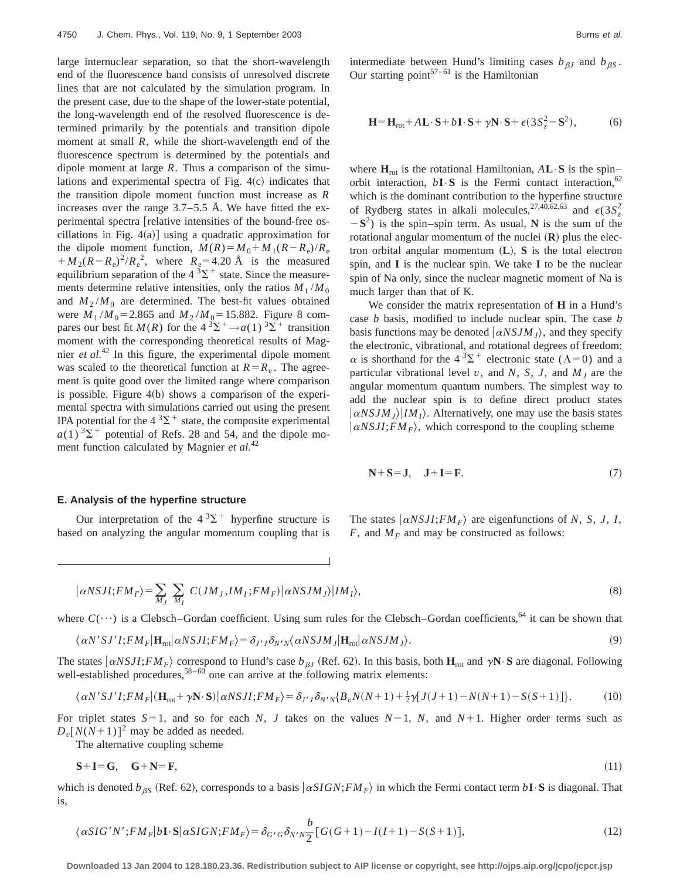large internuclear separation, so that the short-wavelength end of the fluorescence band consists of unresolved discrete lines that are not calculated by the simulation program. In the present case, due to the shape of the lower-state potential, the long-wavelength end of the resolved fluorescence is determined primarily by the potentials and transition dipole moment at small *R*, while the short-wavelength end of the fluorescence spectrum is determined by the potentials and dipole moment at large *R*. Thus a comparison of the simulations and experimental spectra of Fig.  $4(c)$  indicates that the transition dipole moment function must increase as *R* increases over the range  $3.7-5.5$  Å. We have fitted the experimental spectra [relative intensities of the bound-free oscillations in Fig.  $4(a)$ ] using a quadratic approximation for the dipole moment function,  $M(R) = M_0 + M_1(R - R_e)/R_e$  $+M_2(R-R_e)^2/R_e^2$ , where  $R_e=4.20 \text{ Å}$  is the measured equilibrium separation of the  $4^{3}\Sigma^{+}$  state. Since the measurements determine relative intensities, only the ratios  $M_1/M_0$ and  $M_2/M_0$  are determined. The best-fit values obtained were  $M_1/M_0$ =2.865 and  $M_2/M_0$ =15.882. Figure 8 compares our best fit *M*(*R*) for the  $4^{3}\Sigma^{+} \rightarrow a(1)^{3}\Sigma^{+}$  transition moment with the corresponding theoretical results of Magnier *et al.*<sup>42</sup> In this figure, the experimental dipole moment was scaled to the theoretical function at  $R=R_e$ . The agreement is quite good over the limited range where comparison is possible. Figure  $4(b)$  shows a comparison of the experimental spectra with simulations carried out using the present IPA potential for the  $4^3\Sigma^+$  state, the composite experimental  $a(1)$ <sup>3</sup> $\Sigma$ <sup>+</sup> potential of Refs. 28 and 54, and the dipole moment function calculated by Magnier *et al.*<sup>42</sup>

intermediate between Hund's limiting cases  $b_{\beta J}$  and  $b_{\beta S}$ . Our starting point<sup>57–61</sup> is the Hamiltonian

$$
\mathbf{H} = \mathbf{H}_{\text{rot}} + A\mathbf{L} \cdot \mathbf{S} + b\mathbf{I} \cdot \mathbf{S} + \gamma \mathbf{N} \cdot \mathbf{S} + \epsilon (3S_z^2 - \mathbf{S}^2), \tag{6}
$$

where  $H_{\text{rot}}$  is the rotational Hamiltonian,  $A\mathbf{L}\cdot\mathbf{S}$  is the spin– orbit interaction,  $b\mathbf{I} \cdot \mathbf{S}$  is the Fermi contact interaction, <sup>62</sup> which is the dominant contribution to the hyperfine structure of Rydberg states in alkali molecules,<sup>27,40,62,63</sup> and  $\epsilon(3S_z^2)$  $-S<sup>2</sup>$ ) is the spin–spin term. As usual, **N** is the sum of the rotational angular momentum of the nuclei  $(R)$  plus the electron orbital angular momentum  $(L)$ ,  $S$  is the total electron spin, and **I** is the nuclear spin. We take **I** to be the nuclear spin of Na only, since the nuclear magnetic moment of Na is much larger than that of K.

We consider the matrix representation of **H** in a Hund's case *b* basis, modified to include nuclear spin. The case *b* basis functions may be denoted  $\langle \alpha NSJM \rangle$ , and they specify the electronic, vibrational, and rotational degrees of freedom:  $\alpha$  is shorthand for the 4<sup>3</sup> $\Sigma$ <sup>+</sup> electronic state ( $\Lambda$ =0) and a particular vibrational level  $v$ , and  $N$ ,  $S$ ,  $J$ , and  $M<sub>J</sub>$  are the angular momentum quantum numbers. The simplest way to add the nuclear spin is to define direct product states  $\left| \alpha NSIM_J \right\rangle$ *IM<sub>I</sub>* $\rangle$ . Alternatively, one may use the basis states  $\alpha$ *NSJI*;*FM<sub>F</sub>* $\rangle$ , which correspond to the coupling scheme

$$
N+S=J, J+I=F.
$$
 (7)

# **E. Analysis of the hyperfine structure**

Our interpretation of the  $4^{3}\Sigma^{+}$  hyperfine structure is based on analyzing the angular momentum coupling that is The states  $\langle \alpha NSJI; FM_F \rangle$  are eigenfunctions of *N*, *S*, *J*, *I*, *F*, and  $M_F$  and may be constructed as follows:

$$
|\alpha NSJI; FM_F\rangle = \sum_{M_J} \sum_{M_I} C(JM_J, IM_I; FM_F)|\alpha NSJM_J\rangle |IM_I\rangle, \tag{8}
$$

where  $C(\cdots)$  is a Clebsch–Gordan coefficient. Using sum rules for the Clebsch–Gordan coefficients,<sup>64</sup> it can be shown that

$$
\langle \alpha N'SJ'I; FM_F|\mathbf{H}_{\text{rot}}|\alpha NSJI; FM_F\rangle = \delta_{J'J}\delta_{N'N}\langle \alpha NSJM_J|\mathbf{H}_{\text{rot}}|\alpha NSJM_J\rangle. \tag{9}
$$

The states  $\langle \alpha N S J I; FM_F \rangle$  correspond to Hund's case  $b_{\beta J}$  (Ref. 62). In this basis, both  $H_{\text{rot}}$  and  $\gamma N \cdot S$  are diagonal. Following well-established procedures,<sup>58–60</sup> one can arrive at the following matrix elements:

$$
\langle \alpha N'SJ'I; FM_F | (\mathbf{H}_{\text{rot}} + \gamma \mathbf{N} \cdot \mathbf{S}) | \alpha NSJI; FM_F \rangle = \delta_{J'J} \delta_{N'N} \{ B_v N(N+1) + \frac{1}{2} \gamma [J(J+1) - N(N+1) - S(S+1)] \}. \tag{10}
$$

For triplet states  $S=1$ , and so for each *N*, *J* takes on the values  $N-1$ , *N*, and  $N+1$ . Higher order terms such as  $D_v[N(N+1)]^2$  may be added as needed.

The alternative coupling scheme

$$
S+I=G, \quad G+N=F,\tag{11}
$$

which is denoted  $b_{\beta S}$  (Ref. 62), corresponds to a basis  $\alpha SIGN$ ;  $FM_F$ ) in which the Fermi contact term  $b\mathbf{I} \cdot \mathbf{S}$  is diagonal. That is,

$$
\langle \alpha SIG' N'; FM_F | b\mathbf{I} \cdot \mathbf{S} | \alpha SIGN; FM_F \rangle = \delta_{G'G} \delta_{N'N} \frac{b}{2} [G(G+1) - I(I+1) - S(S+1)],\tag{12}
$$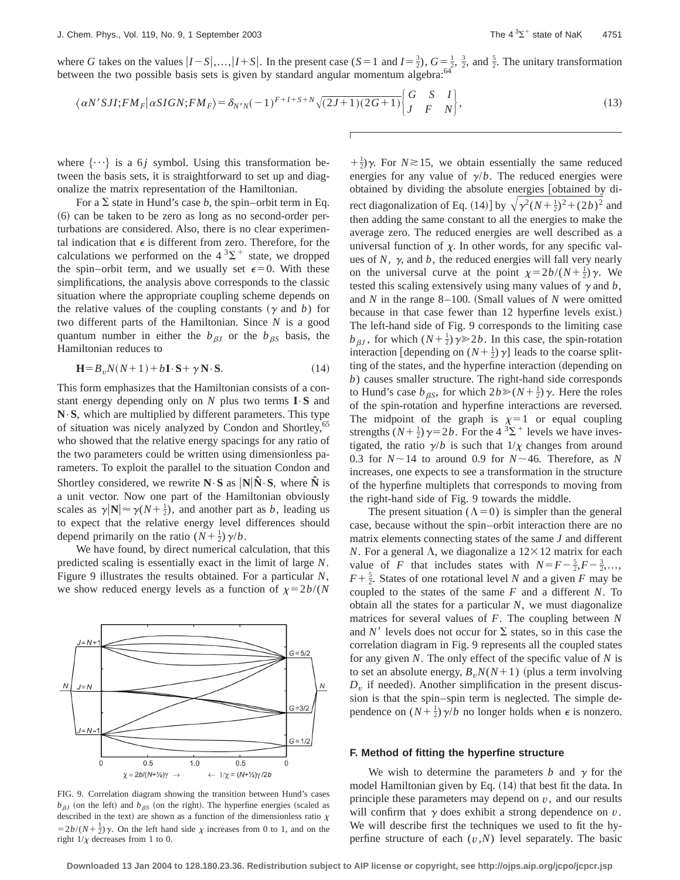where *G* takes on the values  $|I-S|,...,|I+S|$ . In the present case  $(S=1 \text{ and } I=\frac{3}{2})$ ,  $G=\frac{1}{2}, \frac{3}{2}$ , and  $\frac{5}{2}$ . The unitary transformation between the two possible basis sets is given by standard angular momentum algebra:<sup>64</sup>

$$
\langle \alpha N'SJI; FM_F | \alpha SIGN; FM_F \rangle = \delta_{N'N}(-1)^{F+I+S+N} \sqrt{(2J+1)(2G+1)} \begin{Bmatrix} G & S & I \\ J & F & N \end{Bmatrix},\tag{13}
$$

where  $\{\cdots\}$  is a 6*j* symbol. Using this transformation between the basis sets, it is straightforward to set up and diagonalize the matrix representation of the Hamiltonian.

For a  $\Sigma$  state in Hund's case *b*, the spin–orbit term in Eq.  $(6)$  can be taken to be zero as long as no second-order perturbations are considered. Also, there is no clear experimental indication that  $\epsilon$  is different from zero. Therefore, for the calculations we performed on the  $4^{3}\Sigma^{+}$  state, we dropped the spin–orbit term, and we usually set  $\epsilon=0$ . With these simplifications, the analysis above corresponds to the classic situation where the appropriate coupling scheme depends on the relative values of the coupling constants  $(y$  and *b*) for two different parts of the Hamiltonian. Since *N* is a good quantum number in either the  $b_{\beta J}$  or the  $b_{\beta S}$  basis, the Hamiltonian reduces to

$$
\mathbf{H} = B_v N(N+1) + b\mathbf{I} \cdot \mathbf{S} + \gamma \mathbf{N} \cdot \mathbf{S}.
$$
 (14)

This form emphasizes that the Hamiltonian consists of a constant energy depending only on *N* plus two terms **I**•**S** and **N**•**S**, which are multiplied by different parameters. This type of situation was nicely analyzed by Condon and Shortley,<sup>65</sup> who showed that the relative energy spacings for any ratio of the two parameters could be written using dimensionless parameters. To exploit the parallel to the situation Condon and Shortley considered, we rewrite  $N \cdot S$  as  $N \hat{N} \cdot S$ , where  $\hat{N}$  is a unit vector. Now one part of the Hamiltonian obviously scales as  $\gamma |N| \approx \gamma(N + \frac{1}{2})$ , and another part as *b*, leading us to expect that the relative energy level differences should depend primarily on the ratio  $(N + \frac{1}{2})\gamma/b$ .

We have found, by direct numerical calculation, that this predicted scaling is essentially exact in the limit of large *N*. Figure 9 illustrates the results obtained. For a particular *N*, we show reduced energy levels as a function of  $\chi=2b/(N)$ 



FIG. 9. Correlation diagram showing the transition between Hund's cases  $b_{\beta J}$  (on the left) and  $b_{\beta S}$  (on the right). The hyperfine energies (scaled as described in the text) are shown as a function of the dimensionless ratio  $\chi$  $=2b/(N+\frac{1}{2})\gamma$ . On the left hand side  $\chi$  increases from 0 to 1, and on the right  $1/\chi$  decreases from 1 to 0.

 $+\frac{1}{2}$ ) $\gamma$ . For *N*  $\ge$  15, we obtain essentially the same reduced energies for any value of  $\gamma/b$ . The reduced energies were obtained by dividing the absolute energies [obtained by direct diagonalization of Eq. (14)] by  $\sqrt{\gamma^2 (N + \frac{1}{2})^2 + (2b)^2}$  and then adding the same constant to all the energies to make the average zero. The reduced energies are well described as a universal function of  $\chi$ . In other words, for any specific values of  $N$ ,  $\gamma$ , and  $b$ , the reduced energies will fall very nearly on the universal curve at the point  $\chi=2b/(N+\frac{1}{2})\gamma$ . We tested this scaling extensively using many values of  $\gamma$  and  $\dot{b}$ , and  $N$  in the range 8–100. (Small values of  $N$  were omitted because in that case fewer than 12 hyperfine levels exist.) The left-hand side of Fig. 9 corresponds to the limiting case  $b_{\beta J}$ , for which  $(N+\frac{1}{2})\gamma \ge 2b$ . In this case, the spin-rotation interaction [depending on  $(N + \frac{1}{2})\gamma$ ] leads to the coarse splitting of the states, and the hyperfine interaction (depending on *b*) causes smaller structure. The right-hand side corresponds to Hund's case  $b_{\beta S}$ , for which  $2b \ge (N + \frac{1}{2})\gamma$ . Here the roles of the spin-rotation and hyperfine interactions are reversed. The midpoint of the graph is  $\chi=1$  or equal coupling strengths  $(N+\frac{1}{2})\gamma=2b$ . For the 4  $^3\Sigma^+$  levels we have investigated, the ratio  $\gamma/b$  is such that  $1/\chi$  changes from around 0.3 for  $N \sim 14$  to around 0.9 for  $N \sim 46$ . Therefore, as *N* increases, one expects to see a transformation in the structure of the hyperfine multiplets that corresponds to moving from the right-hand side of Fig. 9 towards the middle.

The present situation  $(\Lambda = 0)$  is simpler than the general case, because without the spin–orbit interaction there are no matrix elements connecting states of the same *J* and different *N*. For a general  $\Lambda$ , we diagonalize a  $12 \times 12$  matrix for each value of *F* that includes states with  $N = F - \frac{5}{2}, F - \frac{3}{2}, \ldots$ ,  $F + \frac{5}{2}$ . States of one rotational level *N* and a given *F* may be coupled to the states of the same *F* and a different *N*. To obtain all the states for a particular *N*, we must diagonalize matrices for several values of *F*. The coupling between *N* and  $N'$  levels does not occur for  $\Sigma$  states, so in this case the correlation diagram in Fig. 9 represents all the coupled states for any given *N*. The only effect of the specific value of *N* is to set an absolute energy,  $B_vN(N+1)$  (plus a term involving  $D<sub>v</sub>$  if needed). Another simplification in the present discussion is that the spin–spin term is neglected. The simple dependence on  $(N + \frac{1}{2})\gamma/b$  no longer holds when  $\epsilon$  is nonzero.

#### **F. Method of fitting the hyperfine structure**

We wish to determine the parameters  $b$  and  $\gamma$  for the model Hamiltonian given by Eq.  $(14)$  that best fit the data. In principle these parameters may depend on *v*, and our results will confirm that  $\gamma$  does exhibit a strong dependence on  $v$ . We will describe first the techniques we used to fit the hyperfine structure of each (*v*,*N*) level separately. The basic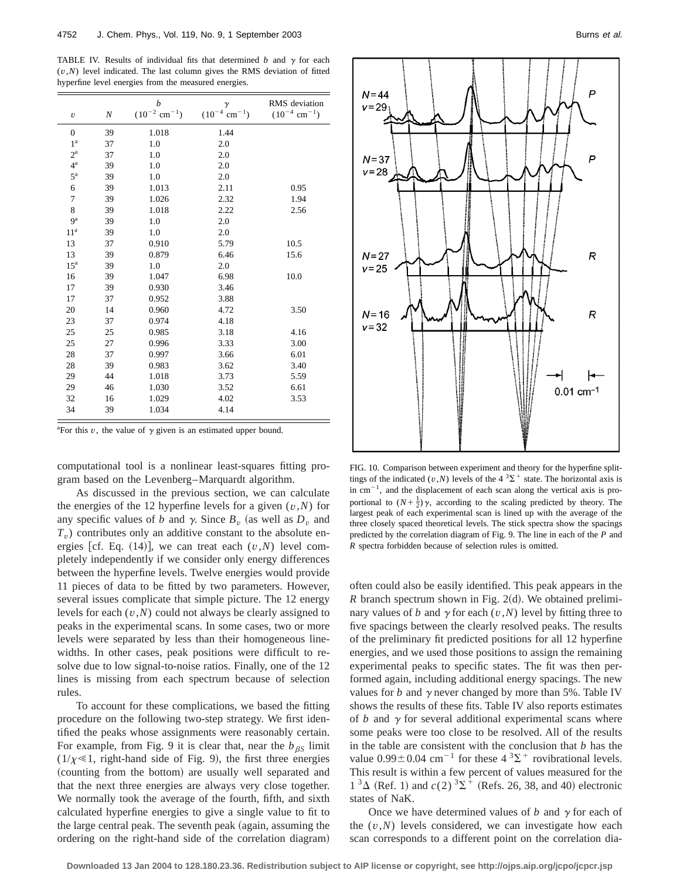TABLE IV. Results of individual fits that determined  $b$  and  $\gamma$  for each (*v*,*N*) level indicated. The last column gives the RMS deviation of fitted hyperfine level energies from the measured energies.

| $\upsilon$      | $\boldsymbol{N}$ | b<br>$(10^{-2}$ cm <sup>-1</sup> ) | $\gamma$<br>$(10^{-4}$ cm <sup>-1</sup> ) | RMS deviation<br>$(10^{-4}$ cm <sup>-1</sup> ) |
|-----------------|------------------|------------------------------------|-------------------------------------------|------------------------------------------------|
| $\overline{0}$  | 39               | 1.018                              | 1.44                                      |                                                |
| 1 <sup>a</sup>  | 37               | 1.0                                | 2.0                                       |                                                |
| $2^{\rm a}$     | 37               | 1.0                                | 2.0                                       |                                                |
| $4^{\rm a}$     | 39               | 1.0                                | 2.0                                       |                                                |
| $5^{\rm a}$     | 39               | 1.0                                | 2.0                                       |                                                |
| 6               | 39               | 1.013                              | 2.11                                      | 0.95                                           |
| 7               | 39               | 1.026                              | 2.32                                      | 1.94                                           |
| 8               | 39               | 1.018                              | 2.22                                      | 2.56                                           |
| 9 <sup>a</sup>  | 39               | 1.0                                | 2.0                                       |                                                |
| 11 <sup>a</sup> | 39               | 1.0                                | 2.0                                       |                                                |
| 13              | 37               | 0.910                              | 5.79                                      | 10.5                                           |
| 13              | 39               | 0.879                              | 6.46                                      | 15.6                                           |
| 15 <sup>a</sup> | 39               | 1.0                                | 2.0                                       |                                                |
| 16              | 39               | 1.047                              | 6.98                                      | 10.0                                           |
| 17              | 39               | 0.930                              | 3.46                                      |                                                |
| 17              | 37               | 0.952                              | 3.88                                      |                                                |
| 20              | 14               | 0.960                              | 4.72                                      | 3.50                                           |
| 23              | 37               | 0.974                              | 4.18                                      |                                                |
| 25              | 25               | 0.985                              | 3.18                                      | 4.16                                           |
| 25              | 27               | 0.996                              | 3.33                                      | 3.00                                           |
| 28              | 37               | 0.997                              | 3.66                                      | 6.01                                           |
| 28              | 39               | 0.983                              | 3.62                                      | 3.40                                           |
| 29              | 44               | 1.018                              | 3.73                                      | 5.59                                           |
| 29              | 46               | 1.030                              | 3.52                                      | 6.61                                           |
| 32              | 16               | 1.029                              | 4.02                                      | 3.53                                           |
| 34              | 39               | 1.034                              | 4.14                                      |                                                |

<sup>a</sup>For this  $v$ , the value of  $\gamma$  given is an estimated upper bound.

computational tool is a nonlinear least-squares fitting program based on the Levenberg–Marquardt algorithm.

As discussed in the previous section, we can calculate the energies of the 12 hyperfine levels for a given  $(v, N)$  for any specific values of *b* and  $\gamma$ . Since  $B_v$  (as well as  $D_v$  and *Tv*) contributes only an additive constant to the absolute energies [cf. Eq.  $(14)$ ], we can treat each  $(v, N)$  level completely independently if we consider only energy differences between the hyperfine levels. Twelve energies would provide 11 pieces of data to be fitted by two parameters. However, several issues complicate that simple picture. The 12 energy levels for each (*v*,*N*) could not always be clearly assigned to peaks in the experimental scans. In some cases, two or more levels were separated by less than their homogeneous linewidths. In other cases, peak positions were difficult to resolve due to low signal-to-noise ratios. Finally, one of the 12 lines is missing from each spectrum because of selection rules.

To account for these complications, we based the fitting procedure on the following two-step strategy. We first identified the peaks whose assignments were reasonably certain. For example, from Fig. 9 it is clear that, near the  $b_{\beta S}$  limit  $(1/\chi \ll 1$ , right-hand side of Fig. 9), the first three energies (counting from the bottom) are usually well separated and that the next three energies are always very close together. We normally took the average of the fourth, fifth, and sixth calculated hyperfine energies to give a single value to fit to the large central peak. The seventh peak (again, assuming the ordering on the right-hand side of the correlation diagram)





FIG. 10. Comparison between experiment and theory for the hyperfine splittings of the indicated  $(v, N)$  levels of the 4<sup>3</sup> $\Sigma$ <sup>+</sup> state. The horizontal axis is in  $cm^{-1}$ , and the displacement of each scan along the vertical axis is proportional to  $(N+\frac{1}{2})\gamma$ , according to the scaling predicted by theory. The largest peak of each experimental scan is lined up with the average of the three closely spaced theoretical levels. The stick spectra show the spacings predicted by the correlation diagram of Fig. 9. The line in each of the *P* and *R* spectra forbidden because of selection rules is omitted.

often could also be easily identified. This peak appears in the  $R$  branch spectrum shown in Fig. 2(d). We obtained preliminary values of *b* and  $\gamma$  for each (*v*,*N*) level by fitting three to five spacings between the clearly resolved peaks. The results of the preliminary fit predicted positions for all 12 hyperfine energies, and we used those positions to assign the remaining experimental peaks to specific states. The fit was then performed again, including additional energy spacings. The new values for *b* and  $\gamma$  never changed by more than 5%. Table IV shows the results of these fits. Table IV also reports estimates of  $b$  and  $\gamma$  for several additional experimental scans where some peaks were too close to be resolved. All of the results in the table are consistent with the conclusion that *b* has the value  $0.99 \pm 0.04$  cm<sup>-1</sup> for these  $4 \, {}^{3}\Sigma^{+}$  rovibrational levels. This result is within a few percent of values measured for the  $1^3\Delta$  (Ref. 1) and  $c(2)^3\Sigma^+$  (Refs. 26, 38, and 40) electronic states of NaK.

Once we have determined values of  $b$  and  $\gamma$  for each of the  $(v, N)$  levels considered, we can investigate how each scan corresponds to a different point on the correlation dia-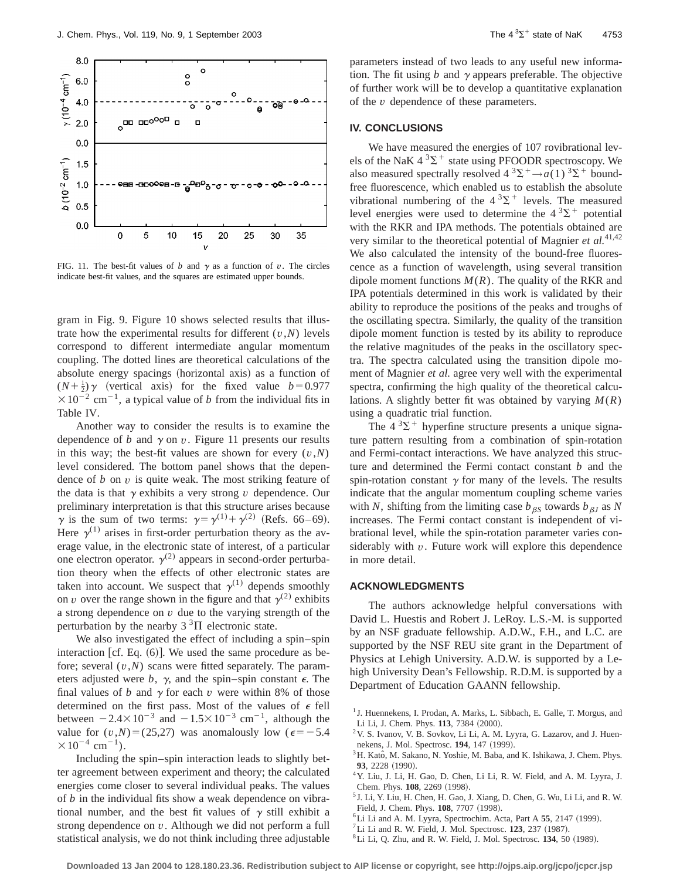

FIG. 11. The best-fit values of *b* and  $\gamma$  as a function of *v*. The circles indicate best-fit values, and the squares are estimated upper bounds.

gram in Fig. 9. Figure 10 shows selected results that illustrate how the experimental results for different  $(v, N)$  levels correspond to different intermediate angular momentum coupling. The dotted lines are theoretical calculations of the absolute energy spacings (horizontal axis) as a function of  $(N+\frac{1}{2})\gamma$  (vertical axis) for the fixed value *b*=0.977  $\times 10^{-2}$  cm<sup>-1</sup>, a typical value of *b* from the individual fits in Table IV.

Another way to consider the results is to examine the dependence of *b* and  $\gamma$  on *v*. Figure 11 presents our results in this way; the best-fit values are shown for every  $(v, N)$ level considered. The bottom panel shows that the dependence of *b* on *v* is quite weak. The most striking feature of the data is that  $\gamma$  exhibits a very strong  $\nu$  dependence. Our preliminary interpretation is that this structure arises because  $\gamma$  is the sum of two terms:  $\gamma = \gamma^{(1)} + \gamma^{(2)}$  (Refs. 66–69). Here  $\gamma^{(1)}$  arises in first-order perturbation theory as the average value, in the electronic state of interest, of a particular one electron operator.  $\gamma^{(2)}$  appears in second-order perturbation theory when the effects of other electronic states are taken into account. We suspect that  $\gamma^{(1)}$  depends smoothly on *v* over the range shown in the figure and that  $\gamma^{(2)}$  exhibits a strong dependence on *v* due to the varying strength of the perturbation by the nearby  $3<sup>3</sup>$ II electronic state.

We also investigated the effect of including a spin–spin interaction  $[cf. Eq. (6)]$ . We used the same procedure as before; several (*v*,*N*) scans were fitted separately. The parameters adjusted were  $b$ ,  $\gamma$ , and the spin–spin constant  $\epsilon$ . The final values of *b* and  $\gamma$  for each *v* were within 8% of those determined on the first pass. Most of the values of  $\epsilon$  fell between  $-2.4\times10^{-3}$  and  $-1.5\times10^{-3}$  cm<sup>-1</sup>, although the value for  $(v, N) = (25,27)$  was anomalously low ( $\epsilon = -5.4$ )  $\times 10^{-4}$  cm<sup>-1</sup>).

Including the spin–spin interaction leads to slightly better agreement between experiment and theory; the calculated energies come closer to several individual peaks. The values of *b* in the individual fits show a weak dependence on vibrational number, and the best fit values of  $\gamma$  still exhibit a strong dependence on *v*. Although we did not perform a full statistical analysis, we do not think including three adjustable parameters instead of two leads to any useful new information. The fit using *b* and  $\gamma$  appears preferable. The objective of further work will be to develop a quantitative explanation of the *v* dependence of these parameters.

## **IV. CONCLUSIONS**

We have measured the energies of 107 rovibrational levels of the NaK  $4 \, {}^{3}\Sigma^{+}$  state using PFOODR spectroscopy. We also measured spectrally resolved  $4 \times 3\Sigma^+ \rightarrow a(1) \times 3\Sigma^+$  boundfree fluorescence, which enabled us to establish the absolute vibrational numbering of the  $4^{3}\Sigma^{+}$  levels. The measured level energies were used to determine the  $4^{3}\Sigma^{+}$  potential with the RKR and IPA methods. The potentials obtained are very similar to the theoretical potential of Magnier *et al.*41,42 We also calculated the intensity of the bound-free fluorescence as a function of wavelength, using several transition dipole moment functions  $M(R)$ . The quality of the RKR and IPA potentials determined in this work is validated by their ability to reproduce the positions of the peaks and troughs of the oscillating spectra. Similarly, the quality of the transition dipole moment function is tested by its ability to reproduce the relative magnitudes of the peaks in the oscillatory spectra. The spectra calculated using the transition dipole moment of Magnier *et al.* agree very well with the experimental spectra, confirming the high quality of the theoretical calculations. A slightly better fit was obtained by varying *M*(*R*) using a quadratic trial function.

The  $4^3\Sigma^+$  hyperfine structure presents a unique signature pattern resulting from a combination of spin-rotation and Fermi-contact interactions. We have analyzed this structure and determined the Fermi contact constant *b* and the spin-rotation constant  $\gamma$  for many of the levels. The results indicate that the angular momentum coupling scheme varies with *N*, shifting from the limiting case  $b_{\beta S}$  towards  $b_{\beta J}$  as *N* increases. The Fermi contact constant is independent of vibrational level, while the spin-rotation parameter varies considerably with *v*. Future work will explore this dependence in more detail.

## **ACKNOWLEDGMENTS**

The authors acknowledge helpful conversations with David L. Huestis and Robert J. LeRoy. L.S.-M. is supported by an NSF graduate fellowship. A.D.W., F.H., and L.C. are supported by the NSF REU site grant in the Department of Physics at Lehigh University. A.D.W. is supported by a Lehigh University Dean's Fellowship. R.D.M. is supported by a Department of Education GAANN fellowship.

- ${}^{6}$ Li Li and A. M. Lyyra, Spectrochim. Acta, Part A  $55$ , 2147 (1999).
- ${}^{7}$ Li Li and R. W. Field, J. Mol. Spectrosc. **123**, 237 (1987).
- ${}^{8}$ Li Li, Q. Zhu, and R. W. Field, J. Mol. Spectrosc. **134**, 50 (1989).

<sup>&</sup>lt;sup>1</sup> J. Huennekens, I. Prodan, A. Marks, L. Sibbach, E. Galle, T. Morgus, and Li Li, J. Chem. Phys. **113**, 7384 (2000).

<sup>2</sup>V. S. Ivanov, V. B. Sovkov, Li Li, A. M. Lyyra, G. Lazarov, and J. Huennekens, J. Mol. Spectrosc. **194**, 147 (1999).

 $3H.$  Katô, M. Sakano, N. Yoshie, M. Baba, and K. Ishikawa, J. Chem. Phys. 93, 2228 (1990).

<sup>4</sup>Y. Liu, J. Li, H. Gao, D. Chen, Li Li, R. W. Field, and A. M. Lyyra, J. Chem. Phys. 108, 2269 (1998).

<sup>5</sup> J. Li, Y. Liu, H. Chen, H. Gao, J. Xiang, D. Chen, G. Wu, Li Li, and R. W. Field, J. Chem. Phys. **108**, 7707 (1998).